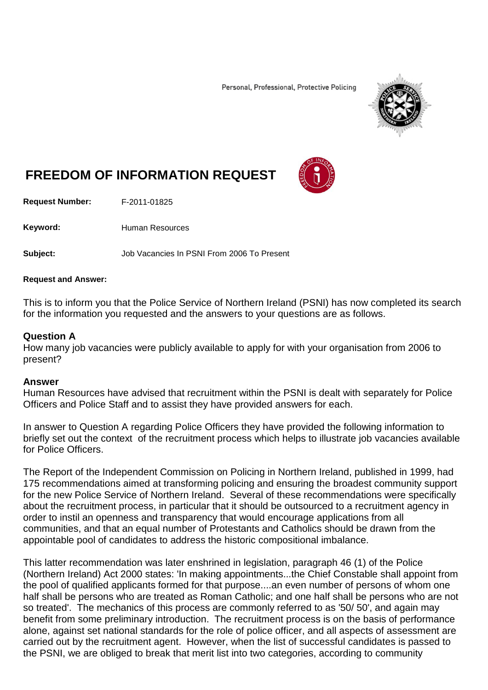Personal, Professional, Protective Policing



# **FREEDOM OF INFORMATION REQUEST**

**Request Number:** F-2011-01825

Keyword: Human Resources

**Subject:** Job Vacancies In PSNI From 2006 To Present

#### **Request and Answer:**

This is to inform you that the Police Service of Northern Ireland (PSNI) has now completed its search for the information you requested and the answers to your questions are as follows.

#### **Question A**

How many job vacancies were publicly available to apply for with your organisation from 2006 to present?

#### **Answer**

Human Resources have advised that recruitment within the PSNI is dealt with separately for Police Officers and Police Staff and to assist they have provided answers for each.

In answer to Question A regarding Police Officers they have provided the following information to briefly set out the context of the recruitment process which helps to illustrate job vacancies available for Police Officers.

The Report of the Independent Commission on Policing in Northern Ireland, published in 1999, had 175 recommendations aimed at transforming policing and ensuring the broadest community support for the new Police Service of Northern Ireland. Several of these recommendations were specifically about the recruitment process, in particular that it should be outsourced to a recruitment agency in order to instil an openness and transparency that would encourage applications from all communities, and that an equal number of Protestants and Catholics should be drawn from the appointable pool of candidates to address the historic compositional imbalance.

This latter recommendation was later enshrined in legislation, paragraph 46 (1) of the Police (Northern Ireland) Act 2000 states: 'In making appointments...the Chief Constable shall appoint from the pool of qualified applicants formed for that purpose....an even number of persons of whom one half shall be persons who are treated as Roman Catholic; and one half shall be persons who are not so treated'. The mechanics of this process are commonly referred to as '50/ 50', and again may benefit from some preliminary introduction. The recruitment process is on the basis of performance alone, against set national standards for the role of police officer, and all aspects of assessment are carried out by the recruitment agent. However, when the list of successful candidates is passed to the PSNI, we are obliged to break that merit list into two categories, according to community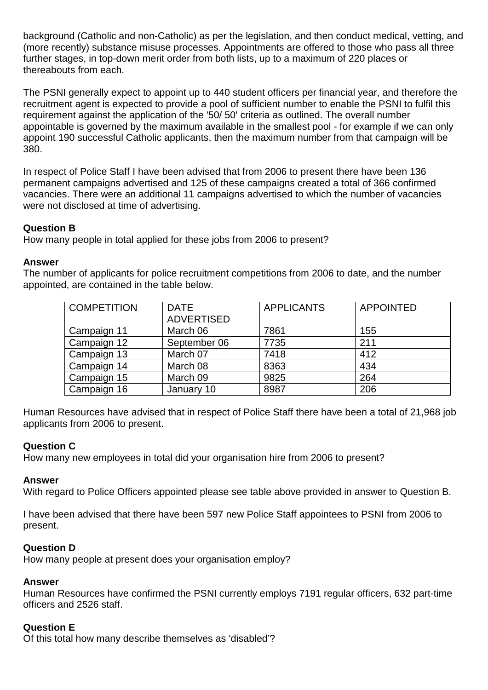background (Catholic and non-Catholic) as per the legislation, and then conduct medical, vetting, and (more recently) substance misuse processes. Appointments are offered to those who pass all three further stages, in top-down merit order from both lists, up to a maximum of 220 places or thereabouts from each.

The PSNI generally expect to appoint up to 440 student officers per financial year, and therefore the recruitment agent is expected to provide a pool of sufficient number to enable the PSNI to fulfil this requirement against the application of the '50/ 50' criteria as outlined. The overall number appointable is governed by the maximum available in the smallest pool - for example if we can only appoint 190 successful Catholic applicants, then the maximum number from that campaign will be 380.

In respect of Police Staff I have been advised that from 2006 to present there have been 136 permanent campaigns advertised and 125 of these campaigns created a total of 366 confirmed vacancies. There were an additional 11 campaigns advertised to which the number of vacancies were not disclosed at time of advertising.

## **Question B**

How many people in total applied for these jobs from 2006 to present?

## **Answer**

The number of applicants for police recruitment competitions from 2006 to date, and the number appointed, are contained in the table below.

| <b>COMPETITION</b> | <b>DATE</b><br><b>ADVERTISED</b> | <b>APPLICANTS</b> | <b>APPOINTED</b> |
|--------------------|----------------------------------|-------------------|------------------|
| Campaign 11        | March 06                         | 7861              | 155              |
| Campaign 12        | September 06                     | 7735              | 211              |
| Campaign 13        | March 07                         | 7418              | 412              |
| Campaign 14        | March 08                         | 8363              | 434              |
| Campaign 15        | March 09                         | 9825              | 264              |
| Campaign 16        | January 10                       | 8987              | 206              |

Human Resources have advised that in respect of Police Staff there have been a total of 21,968 job applicants from 2006 to present.

## **Question C**

How many new employees in total did your organisation hire from 2006 to present?

## **Answer**

With regard to Police Officers appointed please see table above provided in answer to Question B.

I have been advised that there have been 597 new Police Staff appointees to PSNI from 2006 to present.

## **Question D**

How many people at present does your organisation employ?

# **Answer**

Human Resources have confirmed the PSNI currently employs 7191 regular officers, 632 part-time officers and 2526 staff.

# **Question E**

Of this total how many describe themselves as 'disabled'?